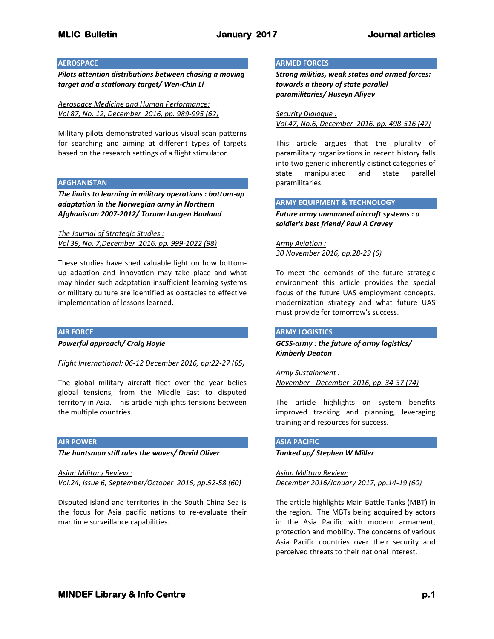#### **AEROSPACE**

*Pilots attention distributions between chasing a moving target and a stationary target/ Wen-Chin Li*

*Aerospace Medicine and Human Performance: Vol 87, No. 12, December 2016, pp. 989-995 (62)*

Military pilots demonstrated various visual scan patterns for searching and aiming at different types of targets based on the research settings of a flight stimulator.

### **AFGHANISTAN**

*The limits to learning in military operations : bottom-up adaptation in the Norwegian army in Northern Afghanistan 2007-2012/ Torunn Laugen Haaland*

*The Journal of Strategic Studies : Vol 39, No. 7,December 2016, pp. 999-1022 (98)*

These studies have shed valuable light on how bottomup adaption and innovation may take place and what may hinder such adaptation insufficient learning systems or military culture are identified as obstacles to effective implementation of lessons learned.

#### **AIR FORCE**

*Powerful approach/ Craig Hoyle*

*Flight International: 06-12 December 2016, pp:22-27 (65)*

The global military aircraft fleet over the year belies global tensions, from the Middle East to disputed territory in Asia. This article highlights tensions between the multiple countries.

#### **AIR POWER**

*The huntsman still rules the waves/ David Oliver*

*Asian Military Review : Vol.24, Issue 6, September/October 2016, pp.52-58 (60)*

Disputed island and territories in the South China Sea is the focus for Asia pacific nations to re-evaluate their maritime surveillance capabilities.

#### **ARMED FORCES**

*Strong militias, weak states and armed forces: towards a theory of state parallel paramilitaries/ Huseyn Aliyev*

*Security Dialogue : Vol.47, No.6, December 2016. pp. 498-516 (47)*

This article argues that the plurality of paramilitary organizations in recent history falls into two generic inherently distinct categories of state manipulated and state parallel paramilitaries.

#### **ARMY EQUIPMENT & TECHNOLOGY**

*Future army unmanned aircraft systems : a soldier's best friend/ Paul A Cravey*

*Army Aviation : 30 November 2016, pp.28-29 (6)*

To meet the demands of the future strategic environment this article provides the special focus of the future UAS employment concepts, modernization strategy and what future UAS must provide for tomorrow's success.

#### **ARMY LOGISTICS**

*GCSS-army : the future of army logistics/ Kimberly Deaton*

*Army Sustainment : November - December 2016, pp. 34-37 (74)*

The article highlights on system benefits improved tracking and planning, leveraging training and resources for success.

#### **ASIA PACIFIC**

#### *Tanked up/ Stephen W Miller*

*Asian Military Review: December 2016/January 2017, pp.14-19 (60)*

The article highlights Main Battle Tanks (MBT) in the region. The MBTs being acquired by actors in the Asia Pacific with modern armament, protection and mobility. The concerns of various Asia Pacific countries over their security and perceived threats to their national interest.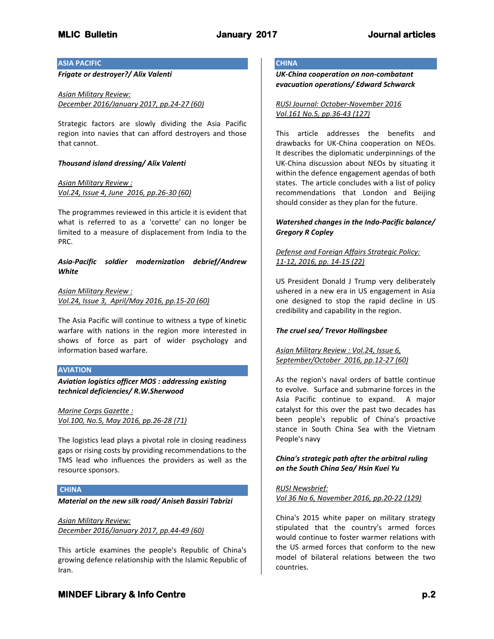### **ASIA PACIFIC**

*Frigate or destroyer?/ Alix Valenti*

*Asian Military Review: December 2016/January 2017, pp.24-27 (60)*

Strategic factors are slowly dividing the Asia Pacific region into navies that can afford destroyers and those that cannot.

### *Thousand island dressing/ Alix Valenti*

*Asian Military Review : Vol.24, Issue 4, June 2016, pp.26-30 (60)*

The programmes reviewed in this article it is evident that what is referred to as a 'corvette' can no longer be limited to a measure of displacement from India to the PRC.

*Asia-Pacific soldier modernization debrief/Andrew White*

*Asian Military Review : Vol.24, Issue 3, April/May 2016, pp.15-20 (60)*

The Asia Pacific will continue to witness a type of kinetic warfare with nations in the region more interested in shows of force as part of wider psychology and information based warfare.

#### **AVIATION**

*Aviation logistics officer MOS : addressing existing technical deficiencies/ R.W.Sherwood*

*Marine Corps Gazette : Vol.100, No.5, May 2016, pp.26-28 (71)*

The logistics lead plays a pivotal role in closing readiness gaps or rising costs by providing recommendations to the TMS lead who influences the providers as well as the resource sponsors.

## **CHINA**

*Material on the new silk road/ Aniseh Bassiri Tabrizi*

*Asian Military Review: December 2016/January 2017, pp.44-49 (60)*

This article examines the people's Republic of China's growing defence relationship with the Islamic Republic of Iran.

# **CHINA**

*UK-China cooperation on non-combatant evacuation operations/ Edward Schwarck*

*RUSI Journal: October-November 2016 Vol.161 No.5, pp.36-43 (127)*

This article addresses the benefits and drawbacks for UK-China cooperation on NEOs. It describes the diplomatic underpinnings of the UK-China discussion about NEOs by situating it within the defence engagement agendas of both states. The article concludes with a list of policy recommendations that London and Beijing should consider as they plan for the future.

## *Watershed changes in the Indo-Pacific balance/ Gregory R Copley*

## *Defense and Foreign Affairs Strategic Policy: 11-12, 2016, pp. 14-15 (22)*

US President Donald J Trump very deliberately ushered in a new era in US engagement in Asia one designed to stop the rapid decline in US credibility and capability in the region.

## *The cruel sea/ Trevor Hollingsbee*

## *Asian Military Review : Vol.24, Issue 6, September/October 2016, pp.12-27 (60)*

As the region's naval orders of battle continue to evolve. Surface and submarine forces in the Asia Pacific continue to expand. A major catalyst for this over the past two decades has been people's republic of China's proactive stance in South China Sea with the Vietnam People's navy

## *China's strategic path after the arbitral ruling on the South China Sea/ Hsin Kuei Yu*

*RUSI Newsbrief: Vol 36 No 6, November 2016, pp.20-22 (129)*

China's 2015 white paper on military strategy stipulated that the country's armed forces would continue to foster warmer relations with the US armed forces that conform to the new model of bilateral relations between the two countries.

# **MINDEF Library & Info Centre** *p.2* **p.2**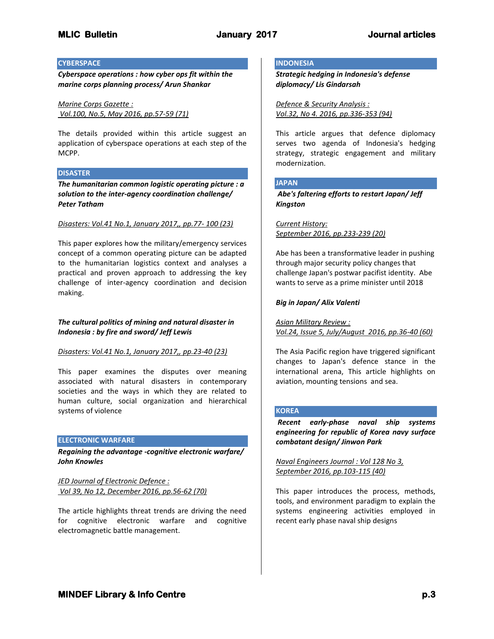### **CYBERSPACE**

*Cyberspace operations : how cyber ops fit within the marine corps planning process/ Arun Shankar*

*Marine Corps Gazette : Vol.100, No.5, May 2016, pp.57-59 (71)*

The details provided within this article suggest an application of cyberspace operations at each step of the MCPP.

### **DISASTER**

*The humanitarian common logistic operating picture : a solution to the inter-agency coordination challenge/ Peter Tatham*

#### *Disasters: Vol.41 No.1, January 2017,, pp.77- 100 (23)*

This paper explores how the military/emergency services concept of a common operating picture can be adapted to the humanitarian logistics context and analyses a practical and proven approach to addressing the key challenge of inter-agency coordination and decision making.

## *The cultural politics of mining and natural disaster in Indonesia : by fire and sword/ Jeff Lewis*

#### *Disasters: Vol.41 No.1, January 2017,, pp.23-40 (23)*

This paper examines the disputes over meaning associated with natural disasters in contemporary societies and the ways in which they are related to human culture, social organization and hierarchical systems of violence

## **ELECTRONIC WARFARE**

*Regaining the advantage -cognitive electronic warfare/ John Knowles*

*JED Journal of Electronic Defence : Vol 39, No 12, December 2016, pp.56-62 (70)*

The article highlights threat trends are driving the need for cognitive electronic warfare and cognitive electromagnetic battle management.

### **INDONESIA**

*Strategic hedging in Indonesia's defense diplomacy/ Lis Gindarsah*

*Defence & Security Analysis : Vol.32, No 4. 2016, pp.336-353 (94)*

This article argues that defence diplomacy serves two agenda of Indonesia's hedging strategy, strategic engagement and military modernization.

## **JAPAN**

*Abe's faltering efforts to restart Japan/ Jeff Kingston*

*Current History: September 2016, pp.233-239 (20)*

Abe has been a transformative leader in pushing through major security policy changes that challenge Japan's postwar pacifist identity. Abe wants to serve as a prime minister until 2018

## *Big in Japan/ Alix Valenti*

*Asian Military Review : Vol.24, Issue 5, July/August 2016, pp.36-40 (60)*

The Asia Pacific region have triggered significant changes to Japan's defence stance in the international arena, This article highlights on aviation, mounting tensions and sea.

#### **KOREA**

*Recent early-phase naval ship systems engineering for republic of Korea navy surface combatant design/ Jinwon Park*

*Naval Engineers Journal : Vol 128 No 3, September 2016, pp.103-115 (40)*

This paper introduces the process, methods, tools, and environment paradigm to explain the systems engineering activities employed in recent early phase naval ship designs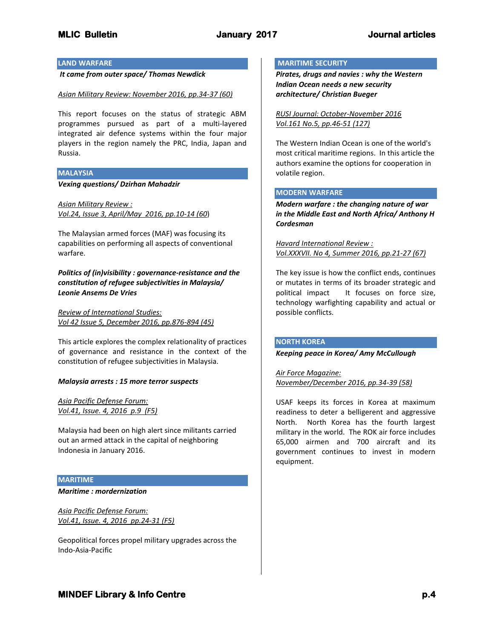### **LAND WARFARE**

*It came from outer space/ Thomas Newdick*

#### *Asian Military Review: November 2016, pp.34-37 (60)*

This report focuses on the status of strategic ABM programmes pursued as part of a multi-layered integrated air defence systems within the four major players in the region namely the PRC, India, Japan and Russia.

#### **MALAYSIA**

*Vexing questions/ Dzirhan Mahadzir*

*Asian Military Review : Vol.24, Issue 3, April/May 2016, pp.10-14 (60*)

The Malaysian armed forces (MAF) was focusing its capabilities on performing all aspects of conventional warfare.

*Politics of (in)visibility : governance-resistance and the constitution of refugee subjectivities in Malaysia/ Leonie Ansems De Vries*

*Review of International Studies: Vol 42 Issue 5, December 2016, pp.876-894 (45)*

This article explores the complex relationality of practices of governance and resistance in the context of the constitution of refugee subjectivities in Malaysia.

#### *Malaysia arrests : 15 more terror suspects*

*Asia Pacific Defense Forum: Vol.41, Issue. 4, 2016 p.9 (F5)*

Malaysia had been on high alert since militants carried out an armed attack in the capital of neighboring Indonesia in January 2016.

#### **MARITIME**

#### *Maritime : mordernization*

*Asia Pacific Defense Forum: Vol.41, Issue. 4, 2016 pp.24-31 (F5)*

Geopolitical forces propel military upgrades across the Indo-Asia-Pacific

#### **MARITIME SECURITY**

*Pirates, drugs and navies : why the Western Indian Ocean needs a new security architecture/ Christian Bueger*

*RUSI Journal: October-November 2016 Vol.161 No.5, pp.46-51 (127)*

The Western Indian Ocean is one of the world's most critical maritime regions. In this article the authors examine the options for cooperation in volatile region.

### **MODERN WARFARE**

*Modern warfare : the changing nature of war in the Middle East and North Africa/ Anthony H Cordesman*

*Havard International Review : Vol.XXXVII. No 4, Summer 2016, pp.21-27 (67)*

The key issue is how the conflict ends, continues or mutates in terms of its broader strategic and political impact It focuses on force size, technology warfighting capability and actual or possible conflicts.

## **NORTH KOREA**

*Keeping peace in Korea/ Amy McCullough*

*Air Force Magazine: November/December 2016, pp.34-39 (58)*

USAF keeps its forces in Korea at maximum readiness to deter a belligerent and aggressive North. North Korea has the fourth largest military in the world. The ROK air force includes 65,000 airmen and 700 aircraft and its government continues to invest in modern equipment.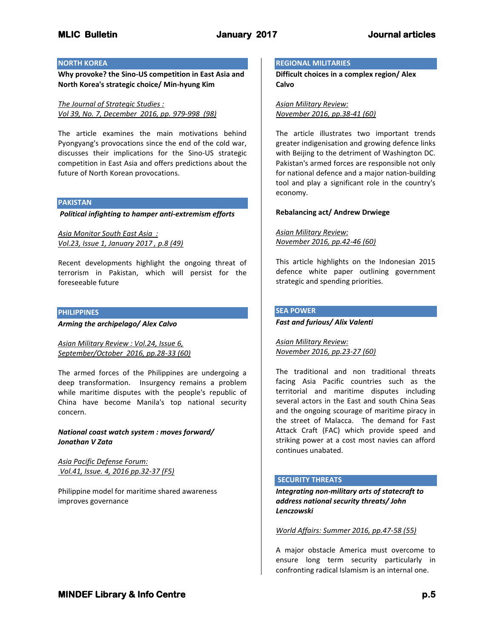### **NORTH KOREA**

**Why provoke? the Sino-US competition in East Asia and North Korea's strategic choice/ Min-hyung Kim**

*The Journal of Strategic Studies : Vol 39, No. 7, December 2016, pp. 979-998 (98)*

The article examines the main motivations behind Pyongyang's provocations since the end of the cold war, discusses their implications for the Sino-US strategic competition in East Asia and offers predictions about the future of North Korean provocations.

#### **PAKISTAN**

*Political infighting to hamper anti-extremism efforts*

*Asia Monitor South East Asia : Vol.23, Issue 1, January 2017 , p.8 (49)*

Recent developments highlight the ongoing threat of terrorism in Pakistan, which will persist for the foreseeable future

#### **PHILIPPINES**

*Arming the archipelago/ Alex Calvo*

*Asian Military Review : Vol.24, Issue 6, September/October 2016, pp.28-33 (60)*

The armed forces of the Philippines are undergoing a deep transformation. Insurgency remains a problem while maritime disputes with the people's republic of China have become Manila's top national security concern.

*National coast watch system : moves forward/ Jonathan V Zata*

*Asia Pacific Defense Forum: Vol.41, Issue. 4, 2016 pp.32-37 (F5)*

Philippine model for maritime shared awareness improves governance

#### **REGIONAL MILITARIES**

**Difficult choices in a complex region/ Alex Calvo**

*Asian Military Review: November 2016, pp.38-41 (60)*

The article illustrates two important trends greater indigenisation and growing defence links with Beijing to the detriment of Washington DC. Pakistan's armed forces are responsible not only for national defence and a major nation-building tool and play a significant role in the country's economy.

### **Rebalancing act/ Andrew Drwiege**

*Asian Military Review: November 2016, pp.42-46 (60)*

This article highlights on the Indonesian 2015 defence white paper outlining government strategic and spending priorities.

## **SEA POWER**

*Fast and furious/ Alix Valenti*

*Asian Military Review: November 2016, pp.23-27 (60)*

The traditional and non traditional threats facing Asia Pacific countries such as the territorial and maritime disputes including several actors in the East and south China Seas and the ongoing scourage of maritime piracy in the street of Malacca. The demand for Fast Attack Craft (FAC) which provide speed and striking power at a cost most navies can afford continues unabated.

## **SECURITY THREATS**

*Integrating non-military arts of statecraft to address national security threats/ John Lenczowski*

*World Affairs: Summer 2016, pp.47-58 (55)*

A major obstacle America must overcome to ensure long term security particularly in confronting radical Islamism is an internal one.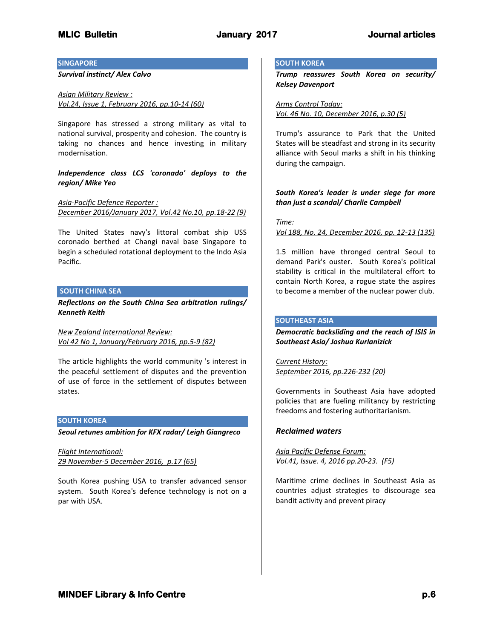#### **SINGAPORE**

*Survival instinct/ Alex Calvo*

*Asian Military Review : Vol.24, Issue 1, February 2016, pp.10-14 (60)*

Singapore has stressed a strong military as vital to national survival, prosperity and cohesion. The country is taking no chances and hence investing in military modernisation.

*Independence class LCS 'coronado' deploys to the region/ Mike Yeo*

*Asia-Pacific Defence Reporter : December 2016/January 2017, Vol.42 No.10, pp.18-22 (9)*

The United States navy's littoral combat ship USS coronado berthed at Changi naval base Singapore to begin a scheduled rotational deployment to the Indo Asia Pacific.

#### **SOUTH CHINA SEA**

*Reflections on the South China Sea arbitration rulings/ Kenneth Keith*

*New Zealand International Review: Vol 42 No 1, January/February 2016, pp.5-9 (82)*

The article highlights the world community 's interest in the peaceful settlement of disputes and the prevention of use of force in the settlement of disputes between states.

## **SOUTH KOREA**

*Seoul retunes ambition for KFX radar/ Leigh Giangreco*

*Flight International: 29 November-5 December 2016, p.17 (65)*

South Korea pushing USA to transfer advanced sensor system. South Korea's defence technology is not on a par with USA.

#### **SOUTH KOREA**

*Trump reassures South Korea on security/ Kelsey Davenport*

*Arms Control Today: Vol. 46 No. 10, December 2016, p.30 (5)*

Trump's assurance to Park that the United States will be steadfast and strong in its security alliance with Seoul marks a shift in his thinking during the campaign.

## *South Korea's leader is under siege for more than just a scandal/ Charlie Campbell*

#### *Time:*

*Vol 188, No. 24, December 2016, pp. 12-13 (135)*

1.5 million have thronged central Seoul to demand Park's ouster. South Korea's political stability is critical in the multilateral effort to contain North Korea, a rogue state the aspires to become a member of the nuclear power club.

## **SOUTHEAST ASIA**

*Democratic backsliding and the reach of ISIS in Southeast Asia/ Joshua Kurlanizick*

*Current History: September 2016, pp.226-232 (20)*

Governments in Southeast Asia have adopted policies that are fueling militancy by restricting freedoms and fostering authoritarianism.

## *Reclaimed waters*

*Asia Pacific Defense Forum: Vol.41, Issue. 4, 2016 pp.20-23. (F5)*

Maritime crime declines in Southeast Asia as countries adjust strategies to discourage sea bandit activity and prevent piracy